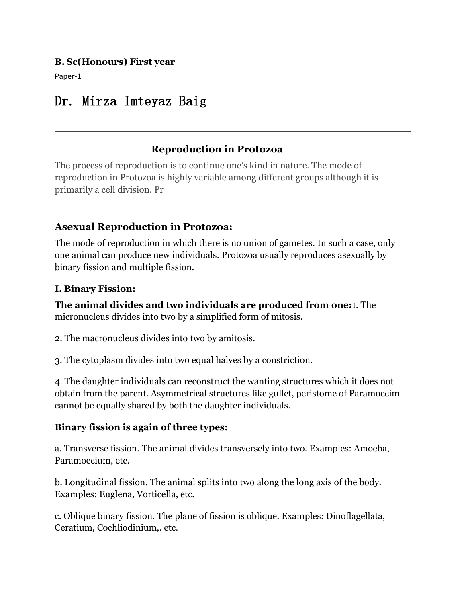#### **B. Sc(Honours) First year**

Paper-1

# Dr. Mirza Imteyaz Baig

# **Reproduction in Protozoa**

The process of reproduction is to continue one's kind in nature. The mode of reproduction in Protozoa is highly variable among different groups although it is primarily a cell division. Pr

# **Asexual Reproduction in Protozoa:**

The mode of reproduction in which there is no union of gametes. In such a case, only one animal can produce new individuals. Protozoa usually reproduces asexually by binary fission and multiple fission.

#### **I. Binary Fission:**

**The animal divides and two individuals are produced from one:**1. The micronucleus divides into two by a simplified form of mitosis.

2. The macronucleus divides into two by amitosis.<br>3. The cytoplasm divides into two equal halves by a constriction.

4. The daughter individuals can reconstruct the wanting structures which it does not obtain from the parent. Asymmetrical structures like gullet, peristome of Paramoecim cannot be equally shared by both the daughter individuals.

#### **Binary fission is again of three types:**

a. Transverse fission. The animal divides transversely into two. Examples: Amoeba, Paramoecium, etc.

b. Longitudinal fission. The animal splits into two along the long axis of the body. Examples: Euglena, Vorticella, etc.

c. Oblique binary fission. The plane of fission is oblique. Examples: Dinoflagellata, Ceratium, Cochliodinium,. etc.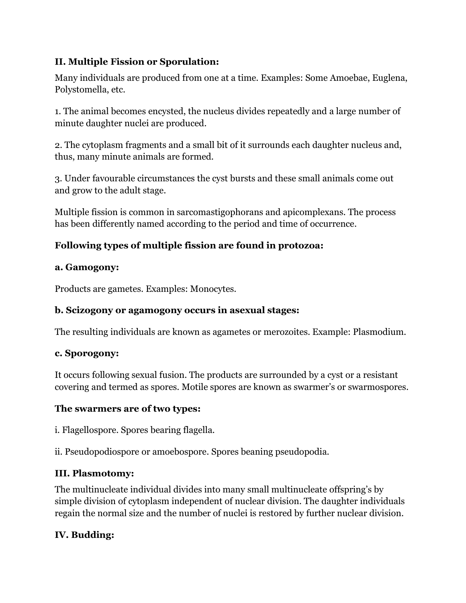# **II. Multiple Fission or Sporulation:**

Many individuals are produced from one at a time. Examples: Some Amoebae, Euglena, Polystomella, etc.

1. The animal becomes encysted, the nucleus divides repeatedly and a large number of minute daughter nuclei are produced.

2. The cytoplasm fragments and a small bit of it surrounds each daughter nucleus and, thus, many minute animals are formed.

3. Under favourable circumstances the cyst bursts and these small animals come out and grow to the adult stage.

Multiple fission is common in sarcomastigophorans and apicomplexans. The process has been differently named according to the period and time of occurrence.

# **Following types of multiple fission are found in protozoa:**

#### **a. Gamogony:**

Products are gametes. Examples: Monocytes.

## **b. Scizogony or agamogony occurs in asexual stages:**

The resulting individuals are known as agametes or merozoites. Example: Plasmodium.

#### **c. Sporogony:**

It occurs following sexual fusion. The products are surrounded by a cyst or a resistant covering and termed as spores. Motile spores are known as swarmer's or swarmospores.

#### **The swarmers are of two types:**

i. Flagellospore. Spores bearing flagella.

ii. Pseudopodiospore or amoebospore. Spores beaning pseudopodia.

## **III. Plasmotomy:**

The multinucleate individual divides into many small multinucleate offspring's by simple division of cytoplasm independent of nuclear division. The daughter individuals regain the normal size and the number of nuclei is restored by further nuclear division.

## **IV. Budding:**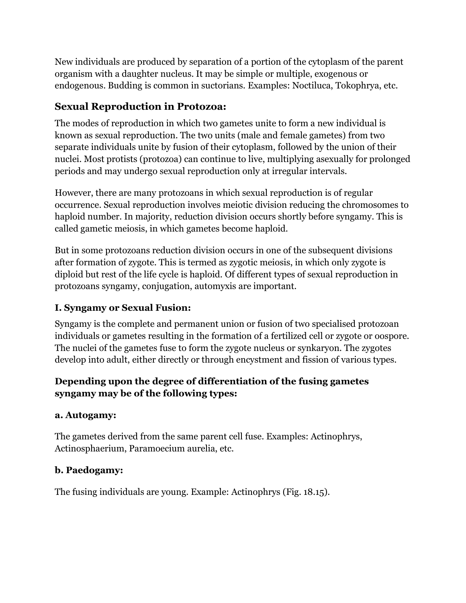New individuals are produced by separation of a portion of the cytoplasm of the parent organism with a daughter nucleus. It may be simple or multiple, exogenous or endogenous. Budding is common in suctorians. Examples: Noctiluca, Tokophrya, etc.

# **Sexual Reproduction in Protozoa:**

The modes of reproduction in which two gametes unite to form a new individual is known as sexual reproduction. The two units (male and female gametes) from two separate individuals unite by fusion of their cytoplasm, followed by the union of their nuclei. Most protists (protozoa) can continue to live, multiplying asexually for prolonged periods and may undergo sexual reproduction only at irregular intervals.

However, there are many protozoans in which sexual reproduction is of regular occurrence. Sexual reproduction involves meiotic division reducing the chromosomes to haploid number. In majority, reduction division occurs shortly before syngamy. This is called gametic meiosis, in which gametes become haploid.

But in some protozoans reduction division occurs in one of the subsequent divisions after formation of zygote. This is termed as zygotic meiosis, in which only zygote is diploid but rest of the life cycle is haploid. Of different types of sexual reproduction in protozoans syngamy, conjugation, automyxis are important.

# **I. Syngamy or Sexual Fusion:**

Syngamy is the complete and permanent union or fusion of two specialised protozoan individuals or gametes resulting in the formation of a fertilized cell or zygote or oospore. The nuclei of the gametes fuse to form the zygote nucleus or synkaryon. The zygotes develop into adult, either directly or through encystment and fission of various types.

# **Depending upon the degree of differentiation of the fusing gametes syngamy may be of the following types:**

#### **a. Autogamy:**

The gametes derived from the same parent cell fuse. Examples: Actinophrys, Actinosphaerium, Paramoecium aurelia, etc.

#### **b. Paedogamy:**

The fusing individuals are young. Example: Actinophrys (Fig. 18.15).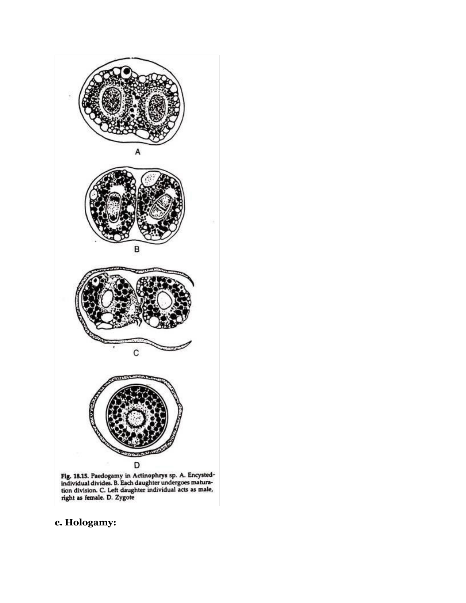

Fig. 18.15. Paedogamy in Actinophrys sp. A. Encysted-individual divides. B. Each daughter undergoes maturation division. C. Left daughter individual acts as male, right as female. D. Zygote

# **c. Hologamy:**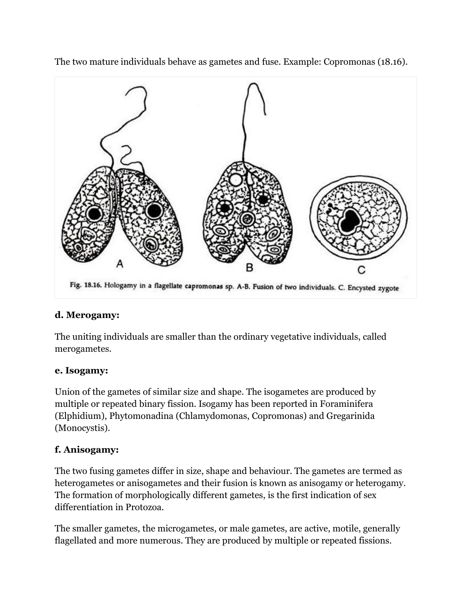

The two mature individuals behave as gametes and fuse. Example: Copromonas (18.16).

## **d. Merogamy:**

The uniting individuals are smaller than the ordinary vegetative individuals, called merogametes.

#### **e. Isogamy:**

Union of the gametes of similar size and shape. The isogametes are produced by multiple or repeated binary fission. Isogamy has been reported in Foraminifera (Elphidium), Phytomonadina (Chlamydomonas, Copromonas) and Gregarinida (Monocystis).

#### **f. Anisogamy:**

The two fusing gametes differ in size, shape and behaviour. The gametes are termed as heterogametes or anisogametes and their fusion is known as anisogamy or heterogamy. The formation of morphologically different gametes, is the first indication of sex differentiation in Protozoa.

The smaller gametes, the microgametes, or male gametes, are active, motile, generally flagellated and more numerous. They are produced by multiple or repeated fissions.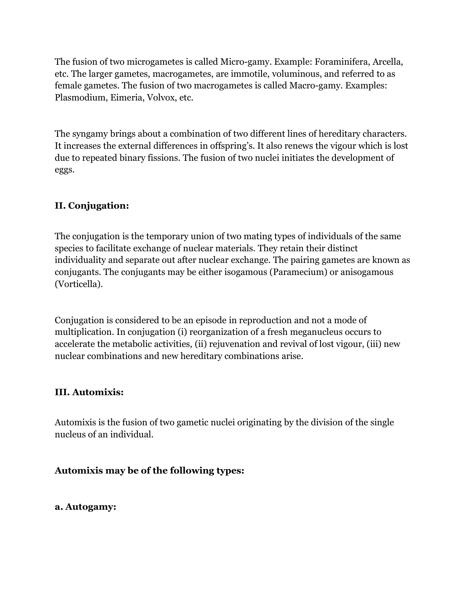The fusion of two microgametes is called Micro-gamy. Example: Foraminifera, Arcella, etc. The larger gametes, macrogametes, are immotile, voluminous, and referred to as female gametes. The fusion of two macrogametes is called Macro-gamy. Examples: Plasmodium, Eimeria, Volvox, etc.

The syngamy brings about a combination of two different lines of hereditary characters. It increases the external differences in offspring's. It also renews the vigour which is lost due to repeated binary fissions. The fusion of two nuclei initiates the development of eggs.

#### **II. Conjugation:**

The conjugation is the temporary union of two mating types of individuals of the same species to facilitate exchange of nuclear materials. They retain their distinct individuality and separate out after nuclear exchange. The pairing gametes are known as conjugants. The conjugants may be either isogamous (Paramecium) or anisogamous (Vorticella).

Conjugation is considered to be an episode in reproduction and not a mode of multiplication. In conjugation (i) reorganization of a fresh meganucleus occurs to accelerate the metabolic activities, (ii) rejuvenation and revival of lost vigour, (iii) new nuclear combinations and new hereditary combinations arise.

#### **III. Automixis:**

Automixis is the fusion of two gametic nuclei originating by the division of the single nucleus of an individual.

#### **Automixis may be of the following types:**

#### **a. Autogamy:**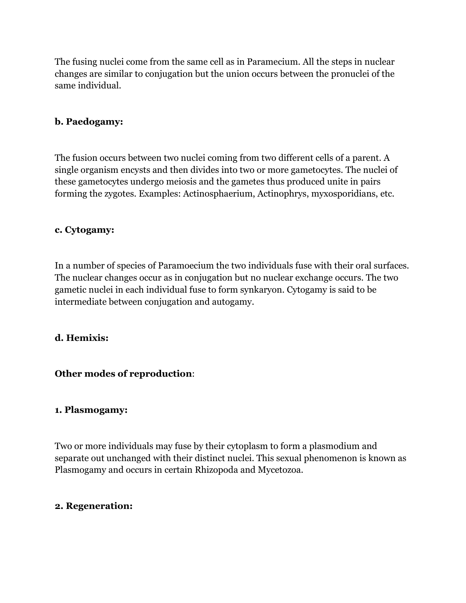The fusing nuclei come from the same cell as in Paramecium. All the steps in nuclear changes are similar to conjugation but the union occurs between the pronuclei of the same individual.

#### **b. Paedogamy:**

The fusion occurs between two nuclei coming from two different cells of a parent. A single organism encysts and then divides into two or more gametocytes. The nuclei of these gametocytes undergo meiosis and the gametes thus produced unite in pairs forming the zygotes. Examples: Actinosphaerium, Actinophrys, myxosporidians, etc.

#### **c. Cytogamy:**

In a number of species of Paramoecium the two individuals fuse with their oral surfaces. The nuclear changes occur as in conjugation but no nuclear exchange occurs. The two gametic nuclei in each individual fuse to form synkaryon. Cytogamy is said to be intermediate between conjugation and autogamy.

#### **d. Hemixis:**

#### **Other modes of reproduction**:

#### **1. Plasmogamy:**

Two or more individuals may fuse by their cytoplasm to form a plasmodium and separate out unchanged with their distinct nuclei. This sexual phenomenon is known as Plasmogamy and occurs in certain Rhizopoda and Mycetozoa.

#### **2. Regeneration:**